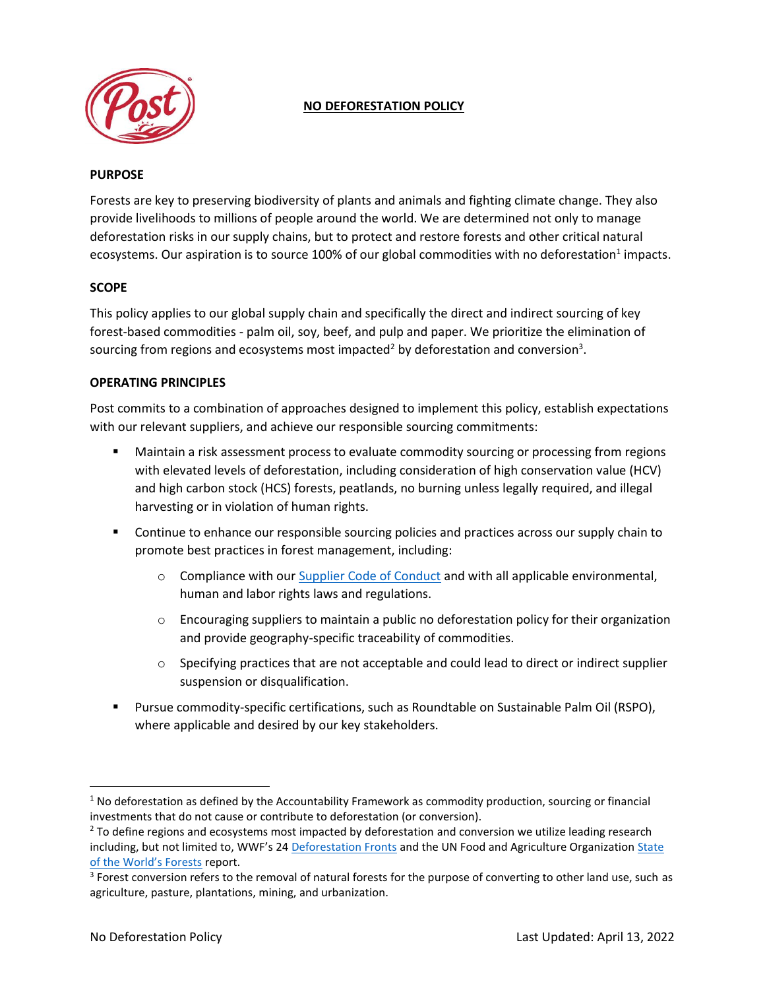

# **NO DEFORESTATION POLICY**

#### **PURPOSE**

Forests are key to preserving biodiversity of plants and animals and fighting climate change. They also provide livelihoods to millions of people around the world. We are determined not only to manage deforestation risks in our supply chains, but to protect and restore forests and other critical natural ecosystems. Our aspiration is to source 100% of our global commodities with no deforestation<sup>1</sup> impacts.

## **SCOPE**

This policy applies to our global supply chain and specifically the direct and indirect sourcing of key forest-based commodities - palm oil, soy, beef, and pulp and paper. We prioritize the elimination of sourcing from regions and ecosystems most impacted<sup>2</sup> by deforestation and conversion<sup>3</sup>.

#### **OPERATING PRINCIPLES**

Post commits to a combination of approaches designed to implement this policy, establish expectations with our relevant suppliers, and achieve our responsible sourcing commitments:

- **■** Maintain a risk assessment process to evaluate commodity sourcing or processing from regions with elevated levels of deforestation, including consideration of high conservation value (HCV) and high carbon stock (HCS) forests, peatlands, no burning unless legally required, and illegal harvesting or in violation of human rights.
- **•** Continue to enhance our responsible sourcing policies and practices across our supply chain to promote best practices in forest management, including:
	- $\circ$  Compliance with our [Supplier Code of Conduct](https://www.postholdings.com/wp-content/uploads/2022/04/Supplier-Code-of-Conduct.pdf) and with all applicable environmental, human and labor rights laws and regulations.
	- $\circ$  Encouraging suppliers to maintain a public no deforestation policy for their organization and provide geography-specific traceability of commodities.
	- $\circ$  Specifying practices that are not acceptable and could lead to direct or indirect supplier suspension or disqualification.
- Pursue commodity-specific certifications, such as Roundtable on Sustainable Palm Oil (RSPO), where applicable and desired by our key stakeholders.

 $1$  No deforestation as defined by the Accountability Framework as commodity production, sourcing or financial investments that do not cause or contribute to deforestation (or conversion).

<sup>&</sup>lt;sup>2</sup> To define regions and ecosystems most impacted by deforestation and conversion we utilize leading research including, but not limited to, WWF's 24 [Deforestation Fronts](https://files.worldwildlife.org/wwfcmsprod/files/Publication/file/ocuoxmdil_Deforestation_fronts___drivers_and_responses_in_a_changing_world___full_report__1_.pdf?_ga=2.140042547.1847480140.1645470245-1137519246.1645470245) and the UN Food and Agriculture Organizatio[n State](https://www.fao.org/state-of-forests/en/)  [of the World's Forests](https://www.fao.org/state-of-forests/en/) report.

 $3$  Forest conversion refers to the removal of natural forests for the purpose of converting to other land use, such as agriculture, pasture, plantations, mining, and urbanization.